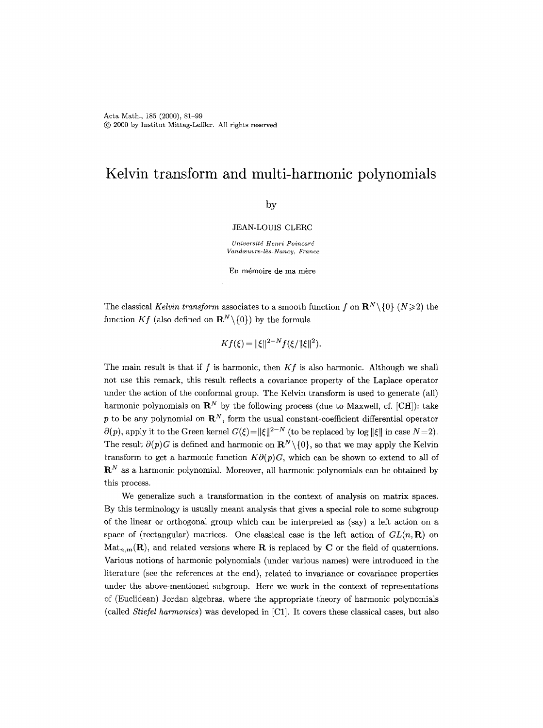# **Kelvin transform and multi-harmonic polynomials**

## by

#### JEAN-LOUIS CLERC

*Universitd Henri Poincard*   $V and œuvre-l\`es-Nanc\iota$ , France

En mémoire de ma mère

The classical *Kelvin transform* associates to a smooth function f on  $\mathbb{R}^N \setminus \{0\}$  ( $N \geq 2$ ) the function *Kf* (also defined on  $\mathbb{R}^N \setminus \{0\}$ ) by the formula

$$
Kf(\xi) = ||\xi||^{2-N} f(\xi/||\xi||^2).
$$

The main result is that if f is harmonic, then *Kf* is also harmonic. Although we shall not use this remark, this result reflects a covariance property of the Laplace operator under the action of the conformal group. The Kelvin transform is used to generate (all) harmonic polynomials on  $\mathbb{R}^N$  by the following process (due to Maxwell, cf. [CH]): take p to be any polynomial on  $\mathbb{R}^N$ , form the usual constant-coefficient differential operator  $\partial(p)$ , apply it to the Green kernel  $G(\xi) = ||\xi||^{2-N}$  (to be replaced by log  $||\xi||$  in case  $N = 2$ ). The result  $\partial(p)G$  is defined and harmonic on  $\mathbb{R}^N\setminus\{0\}$ , so that we may apply the Kelvin transform to get a harmonic function  $K\partial(p)G$ , which can be shown to extend to all of  $\mathbf{R}^N$  as a harmonic polynomial. Moreover, all harmonic polynomials can be obtained by this process.

We generalize such a transformation in the context of analysis on matrix spaces. By this terminology is usually meant analysis that gives a special role to some subgroup of the linear or orthogonal group which can be interpreted as (say) a left action on a space of (rectangular) matrices. One classical case is the left action of  $GL(n, \mathbf{R})$  on  $\text{Mat}_{n,m}(\mathbf{R})$ , and related versions where **R** is replaced by **C** or the field of quaternions. Various notions of harmonic polynomials (under various names) were introduced in the literature (see the references at the end), related to invariance or covariance properties under the above-mentioned subgroup. Here we work in the context of representations of (Euclidean) Jordan algebras, where the appropriate theory of harmonic polynomials (called *Stiefel harmonics)* was developed in [C1]. It covers these classical cases, but also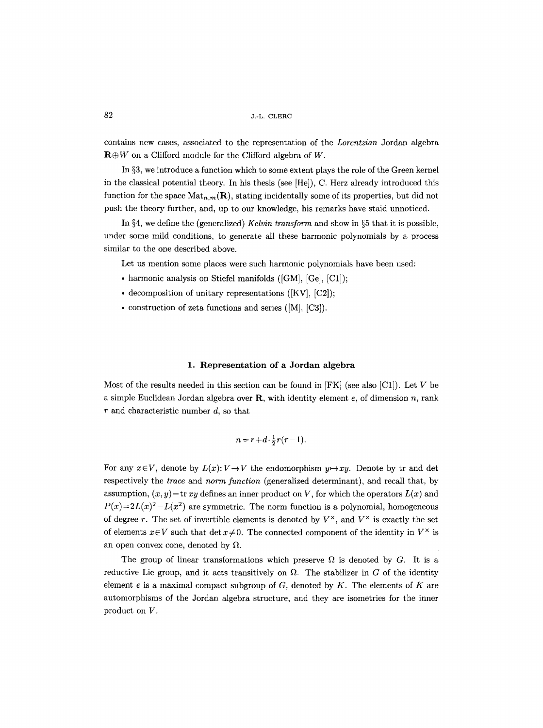contains new cases, associated to the representation of the *Lorentzian* Jordan algebra  $\mathbf{R}\oplus W$  on a Clifford module for the Clifford algebra of W.

In  $\S 3$ , we introduce a function which to some extent plays the role of the Green kernel in the classical potential theory. In his thesis (see [He]), C. Herz already introduced this function for the space  $\text{Mat}_{n,m}(\mathbf{R})$ , stating incidentally some of its properties, but did not push the theory further, and, up to our knowledge, his remarks have staid unnoticed.

In  $\S 4$ , we define the (generalized) *Kelvin transform* and show in  $\S 5$  that it is possible. under some mild conditions, to generate all these harmonic polynomials by a process similar to the one described above.

Let us mention some places were such harmonic polynomials have been used:

- harmonic analysis on Stiefel manifolds ([GM], [Ge], [C1]);
- $\bullet$  decomposition of unitary representations ([KV], [C2]);
- construction of zeta functions and series  $([M], [C3])$ .

#### 1. Representation of a Jordan algebra

Most of the results needed in this section can be found in  $[FK]$  (see also [C1]). Let V be a simple Euclidean Jordan algebra over  $\bf{R}$ , with identity element e, of dimension n, rank  $r$  and characteristic number  $d$ , so that

$$
n = r + d \cdot \frac{1}{2} r(r-1).
$$

For any  $x \in V$ , denote by  $L(x): V \to V$  the endomorphism  $y \mapsto xy$ . Denote by tr and det respectively the *trace* and *norm function* (generalized determinant), and recall that, by assumption,  $(x, y)$  = tr *xy* defines an inner product on V, for which the operators  $L(x)$  and  $P(x)=2L(x)^{2}-L(x^{2})$  are symmetric. The norm function is a polynomial, homogeneous of degree r. The set of invertible elements is denoted by  $V^{\times}$ , and  $V^{\times}$  is exactly the set of elements  $x \in V$  such that det  $x \neq 0$ . The connected component of the identity in  $V^{\times}$  is an open convex cone, denoted by  $\Omega$ .

The group of linear transformations which preserve  $\Omega$  is denoted by G. It is a reductive Lie group, and it acts transitively on  $\Omega$ . The stabilizer in G of the identity element  $e$  is a maximal compact subgroup of  $G$ , denoted by  $K$ . The elements of  $K$  are automorphisms of the Jordan algebra structure, and they are isometries for the inner product on V.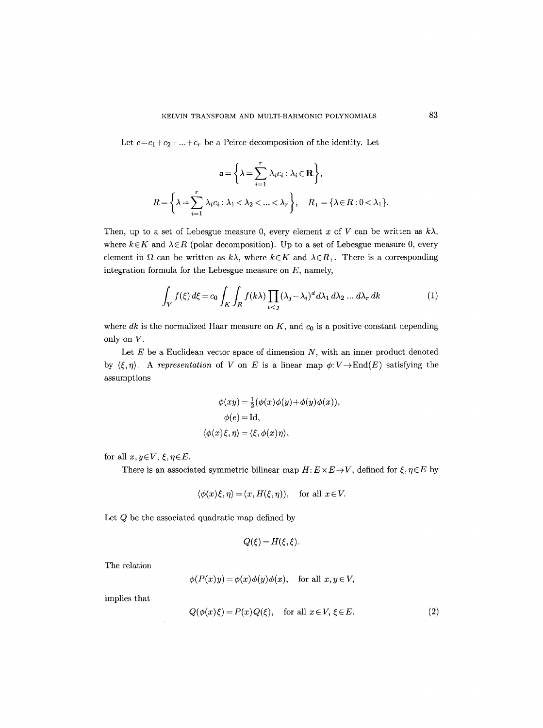Let  $e=c_1+c_2+...+c_r$  be a Peirce decomposition of the identity. Let

$$
\mathfrak{a} = \left\{ \lambda = \sum_{i=1}^r \lambda_i c_i : \lambda_i \in \mathbf{R} \right\},
$$
  

$$
R = \left\{ \lambda = \sum_{i=1}^r \lambda_i c_i : \lambda_1 < \lambda_2 < \dots < \lambda_r \right\}, \quad R_+ = \left\{ \lambda \in R : 0 < \lambda_1 \right\}.
$$

Then, up to a set of Lebesgue measure 0, every element x of V can be written as  $k\lambda$ , where  $k \in K$  and  $\lambda \in R$  (polar decomposition). Up to a set of Lebesgue measure 0, every element in  $\Omega$  can be written as  $k\lambda$ , where  $k \in K$  and  $\lambda \in R_+$ . There is a corresponding integration formula for the Lebesgue measure on  $E$ , namely,

$$
\int_{V} f(\xi) d\xi = c_0 \int_{K} \int_{R} f(k\lambda) \prod_{i < j} (\lambda_j - \lambda_i)^d d\lambda_1 d\lambda_2 \dots d\lambda_r dk \tag{1}
$$

where  $dk$  is the normalized Haar measure on  $K$ , and  $c_0$  is a positive constant depending only on V.

Let  $E$  be a Euclidean vector space of dimension  $N$ , with an inner product denoted by  $\langle \xi, \eta \rangle$ . A *representation* of V on E is a linear map  $\phi: V \to \text{End}(E)$  satisfying the assumptions

$$
\phi(xy) = \frac{1}{2}(\phi(x)\phi(y) + \phi(y)\phi(x)),
$$
  
 
$$
\phi(e) = \text{Id},
$$
  

$$
\langle \phi(x)\xi, \eta \rangle = \langle \xi, \phi(x)\eta \rangle,
$$

for all  $x, y \in V$ ,  $\xi, \eta \in E$ .

There is an associated symmetric bilinear map  $H: E \times E \rightarrow V$ , defined for  $\xi, \eta \in E$  by

$$
\langle \phi(x)\xi, \eta \rangle = (x, H(\xi, \eta)),
$$
 for all  $x \in V$ .

Let  $\boldsymbol{Q}$  be the associated quadratic map defined by

$$
Q(\xi) = H(\xi, \xi).
$$

The relation

$$
\phi(P(x)y) = \phi(x)\phi(y)\phi(x), \quad \text{for all } x, y \in V,
$$

implies that

$$
Q(\phi(x)\xi) = P(x)Q(\xi), \quad \text{for all } x \in V, \xi \in E.
$$
 (2)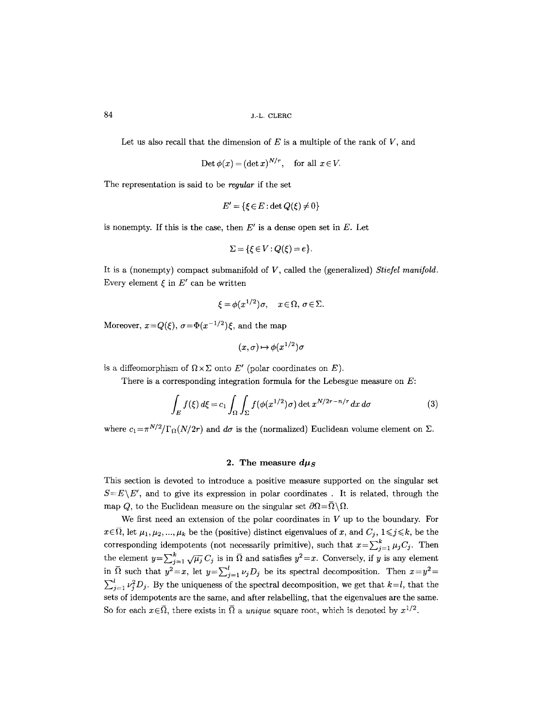Let us also recall that the dimension of  $E$  is a multiple of the rank of  $V$ , and

$$
\text{Det}\ \phi(x) = (\det x)^{N/r}, \quad \text{for all } x \in V.
$$

The representation is said to be *regular* if the set

$$
E' = \{ \xi \in E : \det Q(\xi) \neq 0 \}
$$

is nonempty. If this is the case, then  $E'$  is a dense open set in  $E$ . Let

$$
\Sigma = \{ \xi \in V : Q(\xi) = e \}.
$$

It is a (nonempty) compact submanifold of V, called the (generalized) *Stiefel manifold.*  Every element  $\xi$  in  $E'$  can be written

$$
\xi = \phi(x^{1/2})\sigma, \quad x \in \Omega, \sigma \in \Sigma.
$$

Moreover,  $x=Q(\xi)$ ,  $\sigma=\Phi(x^{-1/2})\xi$ , and the map

$$
(x,\sigma)\mapsto \phi(x^{1/2})\sigma
$$

is a diffeomorphism of  $\Omega \times \Sigma$  onto E' (polar coordinates on E).

There is a corresponding integration formula for the Lebesgue measure on  $E$ :

$$
\int_{E} f(\xi) d\xi = c_1 \int_{\Omega} \int_{\Sigma} f(\phi(x^{1/2})\sigma) \det x^{N/2r - n/r} dx d\sigma \tag{3}
$$

where  $c_1 = \pi^{N/2}/\Gamma_{\Omega}(N/2r)$  and  $d\sigma$  is the (normalized) Euclidean volume element on  $\Sigma$ .

#### 2. The measure  $d\mu_S$

This section is devoted to introduce a positive measure supported on the singular set  $S=E\backslash E'$ , and to give its expression in polar coordinates. It is related, through the map Q, to the Euclidean measure on the singular set  $\partial\Omega=\overline{\Omega}\setminus\Omega$ .

We first need an extension of the polar coordinates in  $V$  up to the boundary. For  $x \in \overline{\Omega}$ , let  $\mu_1, \mu_2, ..., \mu_k$  be the (positive) distinct eigenvalues of x, and  $C_j$ ,  $1 \leq j \leq k$ , be the corresponding idempotents (not necessarily primitive), such that  $x=\sum_{j=1}^k \mu_j C_j$ . Then the element  $y=\sum_{j=1}^k \sqrt{\mu_j} C_j$  is in  $\overline{\Omega}$  and satisfies  $y^2=x$ . Conversely, if y is any element in  $\overline{\Omega}$  such that  $y^2=x$ , let  $y=\sum_{j=1}^l \nu_j D_j$  be its spectral decomposition. Then  $x=y^2=$  $\sum_{j=1}^{l} \nu_j^2 D_j$ . By the uniqueness of the spectral decomposition, we get that  $k=l$ , that the sets of idempotents are the same, and after relabelling, that the eigenvalues are the same. So for each  $x \in \overline{\Omega}$ , there exists in  $\overline{\Omega}$  a *unique* square root, which is denoted by  $x^{1/2}$ .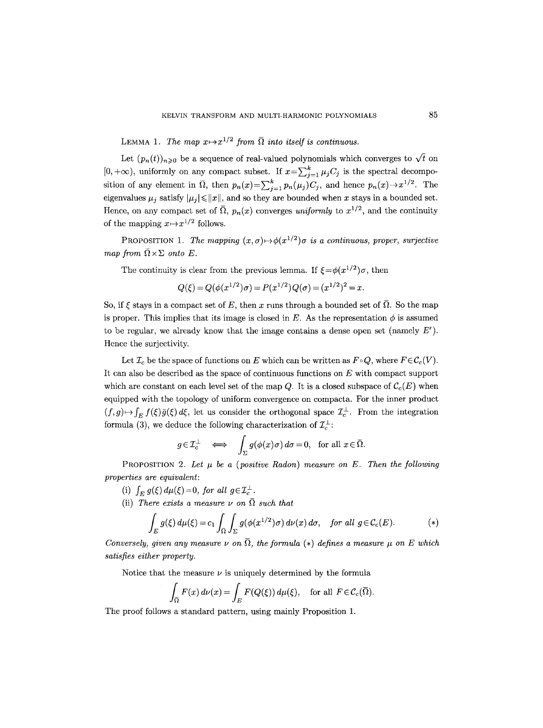LEMMA 1. The map  $x \mapsto x^{1/2}$  from  $\overline{\Omega}$  into itself is continuous.

Let  $(p_n(t))_{n\geq 0}$  be a sequence of real-valued polynomials which converges to  $\sqrt{t}$  on  $[0, +\infty)$ , uniformly on any compact subset. If  $x = \sum_{j=1}^{k} \mu_j C_j$  is the spectral decomposition of any element in  $\overline{\Omega}$ , then  $p_n(x) = \sum_{j=1}^k p_n(\mu_j)C_j$ , and hence  $p_n(x) \to x^{1/2}$ . The eigenvalues  $\mu_i$  satisfy  $|\mu_i| \leq ||x||$ , and so they are bounded when x stays in a bounded set. Hence, on any compact set of  $\overline{\Omega}$ ,  $p_n(x)$  converges *uniformly* to  $x^{1/2}$ , and the continuity of the mapping  $x \mapsto x^{1/2}$  follows.

PROPOSITION 1. *The mapping*  $(x, \sigma) \mapsto \phi(x^{1/2})\sigma$  is a continuous, proper, surjective *map from*  $\overline{\Omega} \times \Sigma$  *onto E*.

The continuity is clear from the previous lemma. If  $\xi = \phi(x^{1/2})\sigma$ , then

$$
Q(\xi) = Q(\phi(x^{1/2})\sigma) = P(x^{1/2})Q(\sigma) = (x^{1/2})^2 = x.
$$

So, if  $\xi$  stays in a compact set of E, then x runs through a bounded set of  $\overline{\Omega}$ . So the map is proper. This implies that its image is closed in E. As the representation  $\phi$  is assumed to be regular, we already know that the image contains a dense open set (namely  $E'$ ). Hence the surjectivity.

Let  $\mathcal{I}_c$  be the space of functions on E which can be written as  $F \circ Q$ , where  $F \in \mathcal{C}_c(V)$ . It can also be described as the space of continuous functions on  $E$  with compact support which are constant on each level set of the map Q. It is a closed subspace of  $\mathcal{C}_c(E)$  when equipped with the topology of uniform convergence on compacta. For the inner product  $(f,g) \mapsto \int_E f(\xi) \bar{g}(\xi) d\xi$ , let us consider the orthogonal space  $\mathcal{I}_c^{\perp}$ . From the integration formula (3), we deduce the following characterization of  $\mathcal{I}_c^{\perp}$ :

$$
g \in \mathcal{I}_c^{\perp} \iff \int_{\Sigma} g(\phi(x)\sigma) d\sigma = 0
$$
, for all  $x \in \overline{\Omega}$ .

PROPOSITION 2. Let  $\mu$  be a (positive Radon) measure on E. Then the following *properties are equivalent:* 

(i)  $\int_E g(\xi) d\mu(\xi) = 0$ , for all  $g \in \mathcal{I}_c^{\perp}$ .

(ii) *There exists a measure*  $\nu$  on  $\overline{\Omega}$  *such that* 

$$
\int_{E} g(\xi) d\mu(\xi) = c_1 \int_{\overline{\Omega}} \int_{\Sigma} g(\phi(x^{1/2})\sigma) d\nu(x) d\sigma, \quad \text{for all } g \in \mathcal{C}_c(E). \tag{*}
$$

*Conversely, given any measure v on*  $\overline{\Omega}$ , the formula (\*) defines a measure  $\mu$  on E which *satisfies either property.* 

Notice that the measure  $\nu$  is uniquely determined by the formula

$$
\int_{\overline{\Omega}} F(x) d\nu(x) = \int_{E} F(Q(\xi)) d\mu(\xi), \quad \text{for all } F \in C_c(\overline{\Omega}).
$$

The proof follows a standard pattern, using mainly Proposition 1.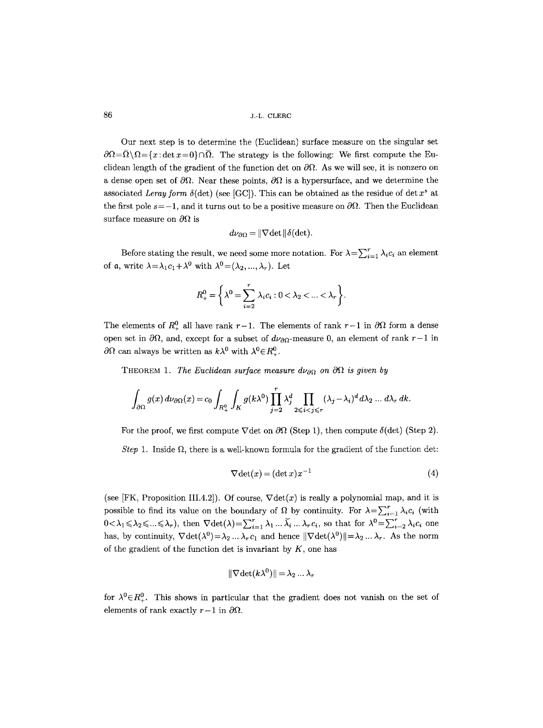Our next step is to determine the (Euclidean) surface measure on the singular set  $\partial\Omega=\overline{\Omega}\setminus\Omega=\{x:\det x=0\}\cap\overline{\Omega}$ . The strategy is the following: We first compute the Euclidean length of the gradient of the function det on  $\partial\Omega$ . As we will see, it is nonzero on a dense open set of  $\partial\Omega$ . Near these points,  $\partial\Omega$  is a hypersurface, and we determine the associated *Leray form*  $\delta$ (det) (see [GC]). This can be obtained as the residue of det  $x^s$  at the first pole  $s=-1$ , and it turns out to be a positive measure on  $\partial\Omega$ . Then the Euclidean surface measure on  $\partial\Omega$  is

$$
d\nu_{\partial\Omega} = ||\nabla \det ||\delta(\det).
$$

Before stating the result, we need some more notation. For  $\lambda = \sum_{i=1}^{r} \lambda_i c_i$  an element of a, write  $\lambda = \lambda_1 c_1 + \lambda^0$  with  $\lambda^0 = (\lambda_2, ..., \lambda_r)$ . Let

$$
R_+^0 = \left\{ \lambda^0 = \sum_{i=2}^r \lambda_i c_i : 0 < \lambda_2 < \ldots < \lambda_r \right\}.
$$

The elements of  $R_+^0$  all have rank  $r-1$ . The elements of rank  $r-1$  in  $\partial\Omega$  form a dense open set in  $\partial\Omega$ , and, except for a subset of  $d\nu_{\partial\Omega}$ -measure 0, an element of rank r-1 in  $\partial\Omega$  can always be written as  $k\lambda^0$  with  $\lambda^0 \in R^0_+$ .

THEOREM 1. *The Euclidean surface measure*  $d\nu_{\partial\Omega}$  *on*  $\partial\Omega$  *is given by* 

$$
\int_{\partial\Omega} g(x) d\nu_{\partial\Omega}(x) = c_0 \int_{R_+^0} \int_K g(k\lambda^0) \prod_{j=2}^r \lambda_j^d \prod_{2 \leqslant i < j \leqslant r} (\lambda_j - \lambda_i)^d d\lambda_2 \dots d\lambda_r dk.
$$

For the proof, we first compute  $\nabla$  det on  $\partial\Omega$  (Step 1), then compute  $\delta$ (det) (Step 2). *Step* 1. Inside  $\Omega$ , there is a well-known formula for the gradient of the function det:

$$
\nabla \det(x) = (\det x) x^{-1} \tag{4}
$$

(see [FK, Proposition III.4.2]). Of course,  $\nabla \det(x)$  is really a polynomial map, and it is possible to find its value on the boundary of  $\Omega$  by continuity. For  $\lambda = \sum_{i=1}^{r} \lambda_i c_i$  (with  $0 < \lambda_1 \leqslant \lambda_2 \leqslant ... \leqslant \lambda_r$ , then  $\nabla \det(\lambda) = \sum_{i=1}^r \lambda_1 ... \tilde{\lambda_i} ... \lambda_r c_i$ , so that for  $\lambda^0 = \sum_{i=2}^r \lambda_i c_i$  one has, by continuity,  $\nabla \det(\lambda^0) = \lambda_2 \dots \lambda_r c_1$  and hence  $\|\nabla \det(\lambda^0)\| = \lambda_2 \dots \lambda_r$ . As the norm of the gradient of the function det is invariant by  $K$ , one has

$$
\|\nabla \det(k\lambda^0)\| = \lambda_2 \dots \lambda_r
$$

for  $\lambda^{0} \in R_{+}^{0}$ . This shows in particular that the gradient does not vanish on the set of elements of rank exactly  $r-1$  in  $\partial\Omega$ .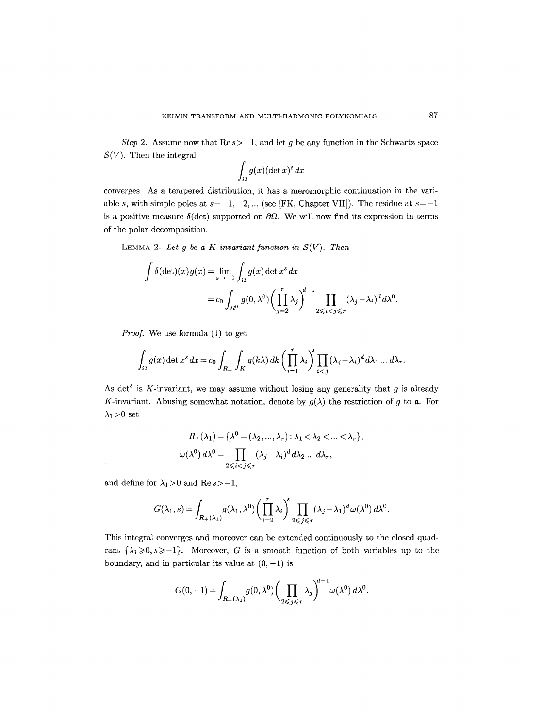*Step 2.* Assume now that  $\text{Re } s > -1$ , and let g be any function in the Schwartz space  $S(V)$ . Then the integral

$$
\int_\Omega g(x) (\det x)^s\, dx
$$

converges. As a tempered distribution, it has a meromorphic continuation in the variable s, with simple poles at  $s=-1,-2,...$  (see [FK, Chapter VII]). The residue at  $s=-1$ is a positive measure  $\delta(\det)$  supported on  $\partial\Omega$ . We will now find its expression in terms of the polar decomposition.

LEMMA 2. Let g be a K-invariant function in  $\mathcal{S}(V)$ . Then

$$
\int \delta(\det)(x)g(x) = \lim_{s \to -1} \int_{\Omega} g(x) \det x^s dx
$$
  
=  $c_0 \int_{R_+^0} g(0, \lambda^0) \left(\prod_{j=2}^r \lambda_j\right)^{d-1} \prod_{2 \leqslant i < j \leqslant r} (\lambda_j - \lambda_i)^d d\lambda^0.$ 

*Proof.* We use formula (1) to get

$$
\int_{\Omega} g(x) \det x^s dx = c_0 \int_{R_+} \int_K g(k\lambda) dk \left(\prod_{i=1}^r \lambda_i\right)^s \prod_{i < j} (\lambda_j - \lambda_i)^d d\lambda_1 \dots d\lambda_r.
$$

As det<sup>s</sup> is K-invariant, we may assume without losing any generality that  $g$  is already K-invariant. Abusing somewhat notation, denote by  $g(\lambda)$  the restriction of g to a. For  $\lambda_1>0$  set

$$
R_{+}(\lambda_{1}) = \{\lambda^{0} = (\lambda_{2}, ..., \lambda_{r}) : \lambda_{1} < \lambda_{2} < ... < \lambda_{r}\},
$$
  

$$
\omega(\lambda^{0}) d\lambda^{0} = \prod_{2 \leq i < j \leq r} (\lambda_{j} - \lambda_{i})^{d} d\lambda_{2} ... d\lambda_{r},
$$

and define for  $\lambda_1 > 0$  and Re  $s > -1$ ,

$$
G(\lambda_1, s) = \int_{R_+(\lambda_1)} g(\lambda_1, \lambda^0) \left(\prod_{i=2}^r \lambda_i\right)^s \prod_{2 \leq j \leq r} (\lambda_j - \lambda_1)^d \omega(\lambda^0) d\lambda^0.
$$

This integral converges and moreover can be extended continuously to the closed quadrant  $\{\lambda_1\geqslant 0, s\geqslant -1\}$ . Moreover, G is a smooth function of both variables up to the boundary, and in particular its value at  $(0,-1)$  is

$$
G(0,-1) = \int_{R_+(\lambda_1)} g(0,\lambda^0) \bigg(\prod_{2 \leq j \leq r} \lambda_j\bigg)^{d-1} \omega(\lambda^0) d\lambda^0.
$$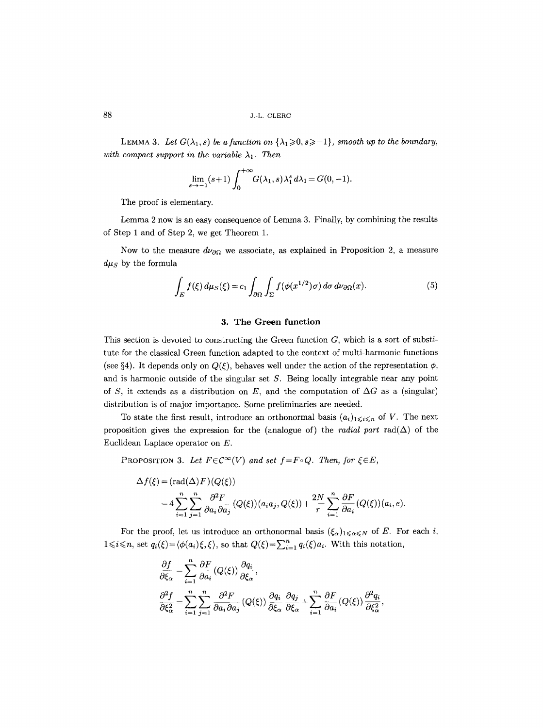LEMMA 3. Let  $G(\lambda_1, s)$  be a function on  $\{\lambda_1 \geqslant 0, s\geqslant -1\}$ , smooth up to the boundary, with compact support in the variable  $\lambda_1$ . Then

$$
\lim_{s\to -1}(s+1)\int_0^{+\infty}G(\lambda_1,s)\lambda_1^s d\lambda_1=G(0,-1).
$$

The proof is elementary.

Lemma 2 now is an easy consequence of Lemma 3. Finally, by combining the results of Step 1 and of Step 2, we get Theorem 1.

Now to the measure  $d\nu_{\partial\Omega}$  we associate, as explained in Proposition 2, a measure  $d\mu_S$  by the formula

$$
\int_{E} f(\xi) d\mu_{S}(\xi) = c_1 \int_{\partial \Omega} \int_{\Sigma} f(\phi(x^{1/2})\sigma) d\sigma d\nu_{\partial \Omega}(x).
$$
\n(5)

## **3. The Green function**

This section is devoted to constructing the Green function  $G$ , which is a sort of substitute for the classical Green function adapted to the context of multi-harmonic functions (see §4). It depends only on  $Q(\xi)$ , behaves well under the action of the representation  $\phi$ , and is harmonic outside of the singular set S. Being locally integrable near any point of S, it extends as a distribution on E, and the computation of  $\Delta G$  as a (singular) distribution is of major importance. Some preliminaries are needed.

To state the first result, introduce an orthonormal basis  $(a_i)_{1 \leq i \leq n}$  of V. The next proposition gives the expression for the (analogue of) the *radial part*  $rad(\Delta)$  of the Euclidean Laplace operator on E.

PROPOSITION 3. Let  $F \in C^{\infty}(V)$  and set  $f = F \circ Q$ . Then, for  $\xi \in E$ ,

$$
\Delta f(\xi) = (\text{rad}(\Delta)F)(Q(\xi))
$$
  
=  $4 \sum_{i=1}^{n} \sum_{j=1}^{n} \frac{\partial^2 F}{\partial a_i \partial a_j} (Q(\xi))(a_i a_j, Q(\xi)) + \frac{2N}{r} \sum_{i=1}^{n} \frac{\partial F}{\partial a_i} (Q(\xi))(a_i, e).$ 

For the proof, let us introduce an orthonormal basis  $({\xi_{\alpha}})_{1\leqslant \alpha \leqslant N}$  of E. For each i,  $1 \leq i \leq n$ , set  $q_i(\xi) = \langle \phi(a_i)\xi, \xi \rangle$ , so that  $Q(\xi) = \sum_{i=1}^n q_i(\xi)a_i$ . With this notation,

$$
\begin{aligned} &\frac{\partial f}{\partial \xi_{\alpha}} = \sum_{i=1}^{n}\frac{\partial F}{\partial a_{i}}\left(Q(\xi)\right)\frac{\partial q_{i}}{\partial \xi_{\alpha}}\,,\\ &\frac{\partial^{2} f}{\partial \xi_{\alpha}^{2}} = \sum_{i=1}^{n}\sum_{j=1}^{n}\frac{\partial^{2} F}{\partial a_{i}\partial a_{j}}\left(Q(\xi)\right)\frac{\partial q_{i}}{\partial \xi_{\alpha}}\frac{\partial q_{j}}{\partial \xi_{\alpha}} + \sum_{i=1}^{n}\frac{\partial F}{\partial a_{i}}\left(Q(\xi)\right)\frac{\partial^{2} q_{i}}{\partial \xi_{\alpha}^{2}}\,, \end{aligned}
$$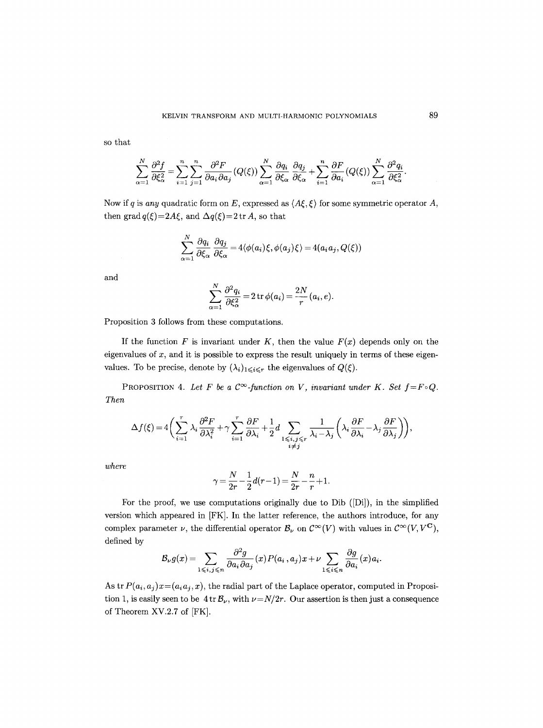so that

$$
\sum_{\alpha=1}^N \frac{\partial^2 f}{\partial \xi_{\alpha}^2} = \sum_{i=1}^n \sum_{j=1}^n \frac{\partial^2 F}{\partial a_i \partial a_j} (Q(\xi)) \sum_{\alpha=1}^N \frac{\partial q_i}{\partial \xi_{\alpha}} \frac{\partial q_j}{\partial \xi_{\alpha}} + \sum_{i=1}^n \frac{\partial F}{\partial a_i} (Q(\xi)) \sum_{\alpha=1}^N \frac{\partial^2 q_i}{\partial \xi_{\alpha}^2}.
$$

Now if q is *any* quadratic form on E, expressed as  $\langle A\xi, \xi \rangle$  for some symmetric operator A, then grad  $q(\xi) = 2A\xi$ , and  $\Delta q(\xi) = 2 \text{ tr } A$ , so that

$$
\sum_{\alpha=1}^N \frac{\partial q_i}{\partial \xi_\alpha} \frac{\partial q_j}{\partial \xi_\alpha} = 4 \langle \phi(a_i)\xi, \phi(a_j)\xi \rangle = 4(a_ia_j, Q(\xi))
$$

and

$$
\sum_{\alpha=1}^N \frac{\partial^2 q_i}{\partial \xi_\alpha^2} = 2 \operatorname{tr} \phi(a_i) = \frac{2N}{r}(a_i, e).
$$

Proposition 3 follows from these computations.

If the function  $F$  is invariant under  $K$ , then the value  $F(x)$  depends only on the eigenvalues of  $x$ , and it is possible to express the result uniquely in terms of these eigenvalues. To be precise, denote by  $(\lambda_i)_{1\leq i\leq r}$  the eigenvalues of  $Q(\xi)$ .

PROPOSITION 4. Let F be a  $\mathcal{C}^{\infty}$ -function on V, invariant under K. Set  $f = F \circ Q$ . *Then* 

$$
\Delta f(\xi) = 4 \bigg( \sum_{i=1}^r \lambda_i \frac{\partial^2 F}{\partial \lambda_i^2} + \gamma \sum_{i=1}^r \frac{\partial F}{\partial \lambda_i} + \frac{1}{2} d \sum_{\substack{1 \leq i,j \leq r \\ i \neq j}} \frac{1}{\lambda_i - \lambda_j} \bigg( \lambda_i \frac{\partial F}{\partial \lambda_i} - \lambda_j \frac{\partial F}{\partial \lambda_j} \bigg) \bigg),
$$

*where* 

$$
\gamma = \frac{N}{2r} - \frac{1}{2}d(r-1) = \frac{N}{2r} - \frac{n}{r} + 1.
$$

For the proof, we use computations originally due to Dib  $([Di])$ , in the simplified version which appeared in [FK]. In the latter reference, the authors introduce, for any complex parameter  $\nu$ , the differential operator  $\mathcal{B}_{\nu}$  on  $\mathcal{C}^{\infty}(V)$  with values in  $\mathcal{C}^{\infty}(V, V^{\mathbf{C}})$ , defined by

$$
\mathcal{B}_{\nu}g(x) = \sum_{1 \leq i,j \leq n} \frac{\partial^2 g}{\partial a_i \partial a_j}(x) P(a_i, a_j) x + \nu \sum_{1 \leq i \leq n} \frac{\partial g}{\partial a_i}(x) a_i.
$$

As tr  $P(a_i, a_j)x = (a_i a_j, x)$ , the radial part of the Laplace operator, computed in Proposition 1, is easily seen to be  $4 \text{ tr } \mathcal{B}_{\nu}$ , with  $\nu = N/2r$ . Our assertion is then just a consequence of Theorem XV.2.7 of [FK].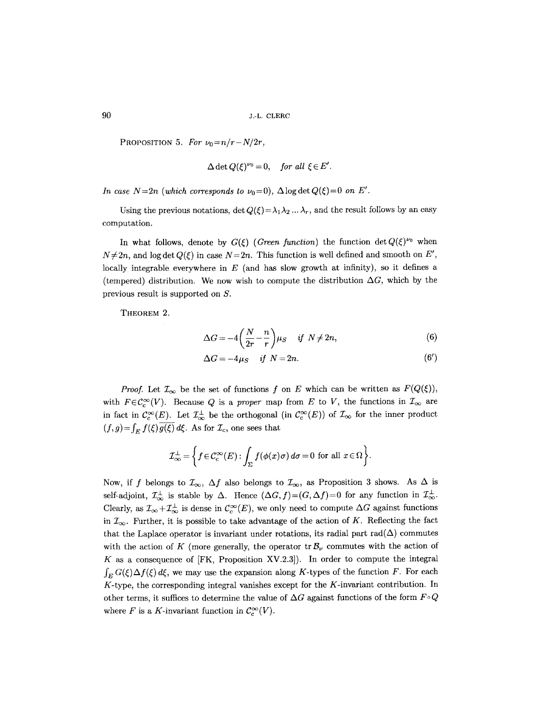PROPOSITION 5. For  $\nu_0 = n/r - N/2r$ ,

$$
\Delta \det Q(\xi)^{\nu_0}=0, \quad \text{for all } \xi \in E'.
$$

*In case N=2n (which corresponds to*  $\nu_0=0$ ),  $\Delta \log \det Q(\xi)=0$  *on E'.* 

Using the previous notations,  $\det Q(\xi) = \lambda_1 \lambda_2 ... \lambda_r$ , and the result follows by an easy computation.

In what follows, denote by  $G(\xi)$  (*Green function*) the function  $\det Q(\xi)^{\nu_0}$  when  $N \neq 2n$ , and log det  $Q(\xi)$  in case  $N=2n$ . This function is well defined and smooth on E', locally integrable everywhere in  $E$  (and has slow growth at infinity), so it defines a (tempered) distribution. We now wish to compute the distribution  $\Delta G$ , which by the previous result is supported on S.

THEOREM 2.

$$
\Delta G = -4\left(\frac{N}{2r} - \frac{n}{r}\right)\mu_S \quad \text{if } N \neq 2n,
$$
\n(6)

$$
\Delta G = -4\mu_S \quad \text{if} \quad N = 2n. \tag{6'}
$$

*Proof.* Let  $\mathcal{I}_{\infty}$  be the set of functions f on E which can be written as  $F(Q(\xi))$ , with  $F \in \mathcal{C}_c^{\infty}(V)$ . Because Q is a *proper* map from E to V, the functions in  $\mathcal{I}_{\infty}$  are in fact in  $\mathcal{C}_c^{\infty}(E)$ . Let  $\mathcal{I}_{\infty}^{\perp}$  be the orthogonal (in  $\mathcal{C}_c^{\infty}(E)$ ) of  $\mathcal{I}_{\infty}$  for the inner product  $(f,g)=\int_E f(\xi)\overline{g(\xi)} d\xi$ . As for  $\mathcal{I}_c$ , one sees that

$$
\mathcal{I}_{\infty}^{\perp} = \left\{ f \in \mathcal{C}_c^{\infty}(E) : \int_{\Sigma} f(\phi(x)\sigma) d\sigma = 0 \text{ for all } x \in \Omega \right\}.
$$

Now, if f belongs to  $\mathcal{I}_{\infty}$ ,  $\Delta f$  also belongs to  $\mathcal{I}_{\infty}$ , as Proposition 3 shows. As  $\Delta$  is self-adjoint,  $\mathcal{I}_{\infty}^{\perp}$  is stable by  $\Delta$ . Hence  $(\Delta G, f)=(G, \Delta f)=0$  for any function in  $\mathcal{I}_{\infty}^{\perp}$ . Clearly, as  $\mathcal{I}_{\infty}+\mathcal{I}_{\infty}^{\perp}$  is dense in  $\mathcal{C}_{c}^{\infty}(E)$ , we only need to compute  $\Delta G$  against functions in  $\mathcal{I}_{\infty}$ . Further, it is possible to take advantage of the action of K. Reflecting the fact that the Laplace operator is invariant under rotations, its radial part  $rad(\Delta)$  commutes with the action of K (more generally, the operator tr  $\mathcal{B}_{\nu}$  commutes with the action of K as a consequence of  $[FK, Proposition XV.2.3]$ . In order to compute the integral  $\int_{E} G(\xi) \Delta f(\xi) d\xi$ , we may use the expansion along K-types of the function F. For each K-type, the corresponding integral vanishes except for the K-invariant contribution. In other terms, it suffices to determine the value of  $\Delta G$  against functions of the form  $F \circ Q$ where F is a K-invariant function in  $C_c^{\infty}(V)$ .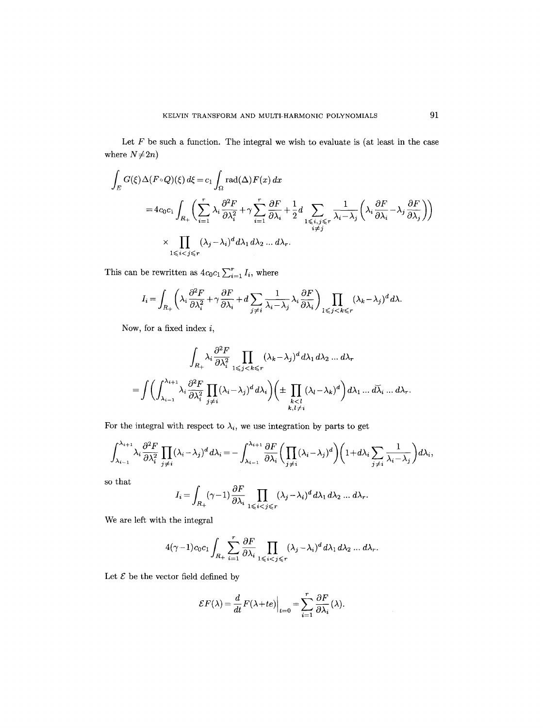Let  $F$  be such a function. The integral we wish to evaluate is (at least in the case where  $N \neq 2n$ )

$$
\int_{E} G(\xi) \Delta(F \circ Q)(\xi) d\xi = c_1 \int_{\Omega} \text{rad}(\Delta) F(x) dx
$$
\n
$$
= 4c_0 c_1 \int_{R_+} \left( \sum_{i=1}^r \lambda_i \frac{\partial^2 F}{\partial \lambda_i^2} + \gamma \sum_{i=1}^r \frac{\partial F}{\partial \lambda_i} + \frac{1}{2} d \sum_{\substack{1 \le i,j \le r \\ i \ne j}} \frac{1}{\lambda_i - \lambda_j} \left( \lambda_i \frac{\partial F}{\partial \lambda_i} - \lambda_j \frac{\partial F}{\partial \lambda_j} \right) \right)
$$
\n
$$
\times \prod_{1 \le i < j \le r} (\lambda_j - \lambda_i)^d d\lambda_1 d\lambda_2 \dots d\lambda_r.
$$

This can be rewritten as  $4c_0c_1\sum_{i=1}^r I_i$ , where

$$
I_i = \int_{R_+} \left( \lambda_i \frac{\partial^2 F}{\partial \lambda_i^2} + \gamma \frac{\partial F}{\partial \lambda_i} + d \sum_{j \neq i} \frac{1}{\lambda_i - \lambda_j} \lambda_i \frac{\partial F}{\partial \lambda_i} \right) \prod_{1 \leq j < k \leq r} (\lambda_k - \lambda_j)^d d\lambda.
$$

Now, for a fixed index  $i$ ,

$$
\int_{R_+} \lambda_i \frac{\partial^2 F}{\partial \lambda_i^2} \prod_{1 \leq j < k \leq r} (\lambda_k - \lambda_j)^d d\lambda_1 d\lambda_2 \dots d\lambda_r
$$
\n
$$
= \int \left( \int_{\lambda_{i-1}}^{\lambda_{i+1}} \lambda_i \frac{\partial^2 F}{\partial \lambda_i^2} \prod_{j \neq i} (\lambda_i - \lambda_j)^d d\lambda_i \right) \left( \pm \prod_{\substack{k < l \\ k, l \neq i}} (\lambda_l - \lambda_k)^d \right) d\lambda_1 \dots d\lambda_r.
$$

For the integral with respect to  $\lambda_i$ , we use integration by parts to get

$$
\int_{\lambda_{i-1}}^{\lambda_{i+1}} \lambda_i \frac{\partial^2 F}{\partial \lambda_i^2} \prod_{j \neq i} (\lambda_i - \lambda_j)^d d\lambda_i = - \int_{\lambda_{i-1}}^{\lambda_{i+1}} \frac{\partial F}{\partial \lambda_i} \left( \prod_{j \neq i} (\lambda_i - \lambda_j)^d \right) \left( 1 + d\lambda_i \sum_{j \neq i} \frac{1}{\lambda_i - \lambda_j} \right) d\lambda_i,
$$

so that

$$
I_i = \int_{R_+} (\gamma-1) \frac{\partial F}{\partial \lambda_i} \prod_{1 \leqslant i < j \leqslant r} (\lambda_j - \lambda_i)^d d\lambda_1 d\lambda_2 \ldots d\lambda_r.
$$

We are left with the integral

$$
4(\gamma-1)c_0c_1\int_{R_+}\sum_{i=1}^r\frac{\partial F}{\partial\lambda_i}\prod_{1\leqslant i
$$

Let  ${\mathcal E}$  be the vector field defined by

$$
\mathcal{E}F(\lambda) = \frac{d}{dt}F(\lambda + te)\Big|_{t=0} = \sum_{i=1}^r \frac{\partial F}{\partial \lambda_i}(\lambda).
$$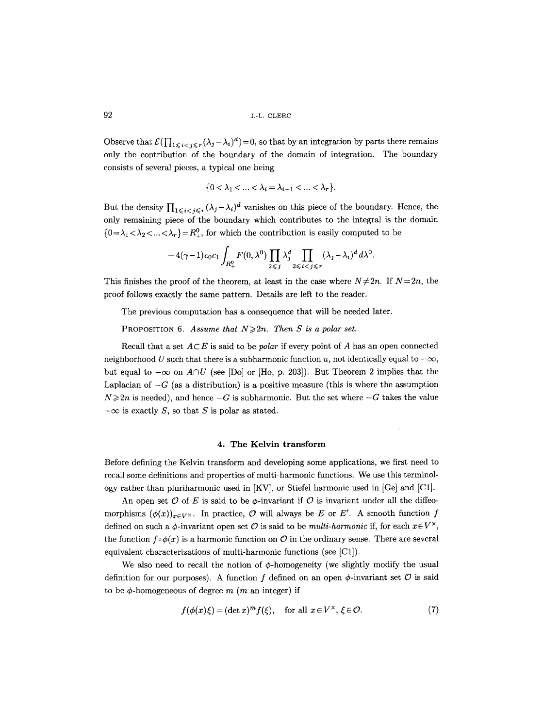Observe that  $\mathcal{E}(\prod_{1 \leq i < j \leq r}(\lambda_j-\lambda_i)^d)=0$ , so that by an integration by parts there remains only the contribution of the boundary of the domain of integration. The boundary consists of several pieces, a typical one being

$$
\{0<\lambda_1<\ldots<\lambda_i=\lambda_{i+1}<\ldots<\lambda_r\}.
$$

But the density  $\prod_{1 \leq i < j \leq r} (\lambda_j - \lambda_i)^d$  vanishes on this piece of the boundary. Hence, the only remaining piece of the boundary which contributes to the integral is the domain  ${0 = \lambda_1 < \lambda_2 < ... < \lambda_r} = R_+^0$ , for which the contribution is easily computed to be

$$
-4(\gamma-1)c_0c_1\int_{R_+^0}F(0,\lambda^0)\prod_{2\leqslant j}\lambda_j^d\prod_{2\leqslant i
$$

This finishes the proof of the theorem, at least in the case where  $N \neq 2n$ . If  $N=2n$ , the proof follows exactly the same pattern. Details are left to the reader.

The previous computation has a consequence that will be needed later.

PROPOSITION 6. *Assume that*  $N \ge 2n$ . *Then S is a polar set.* 

Recall that a set  $A \subset E$  is said to be *polar* if every point of A has an open connected neighborhood U such that there is a subharmonic function u, not identically equal to  $-\infty$ , but equal to  $-\infty$  on  $A \cap U$  (see [Do] or [Ho, p. 203]). But Theorem 2 implies that the Laplacian of  $-G$  (as a distribution) is a positive measure (this is where the assumption  $N \ge 2n$  is needed), and hence  $-G$  is subharmonic. But the set where  $-G$  takes the value  $-\infty$  is exactly S, so that S is polar as stated.

### **4. The Kelvin transform**

Before defining the Kelvin transform and developing some applications, we first need to recall some definitions and properties of multi-harmonic functions. We use this terminology rather than pluriharmonic used in [KV], or Stiefel harmonic used in [Ge] and [C1].

An open set  $\mathcal O$  of E is said to be  $\phi$ -invariant if  $\mathcal O$  is invariant under all the diffeomorphisms  $(\phi(x))_{x\in V^{\times}}$ . In practice, O will always be E or E'. A smooth function f defined on such a  $\phi$ -invariant open set O is said to be *multi-harmonic* if, for each  $x \in V^{\times}$ , the function  $f \circ \phi(x)$  is a harmonic function on O in the ordinary sense. There are several equivalent characterizations of multi-harmonic functions (see [C1]).

We also need to recall the notion of  $\phi$ -homogeneity (we slightly modify the usual definition for our purposes). A function f defined on an open  $\phi$ -invariant set  $\mathcal O$  is said to be  $\phi$ -homogeneous of degree m (m an integer) if

$$
f(\phi(x)\xi) = (\det x)^m f(\xi), \quad \text{for all } x \in V^\times, \xi \in \mathcal{O}.
$$
 (7)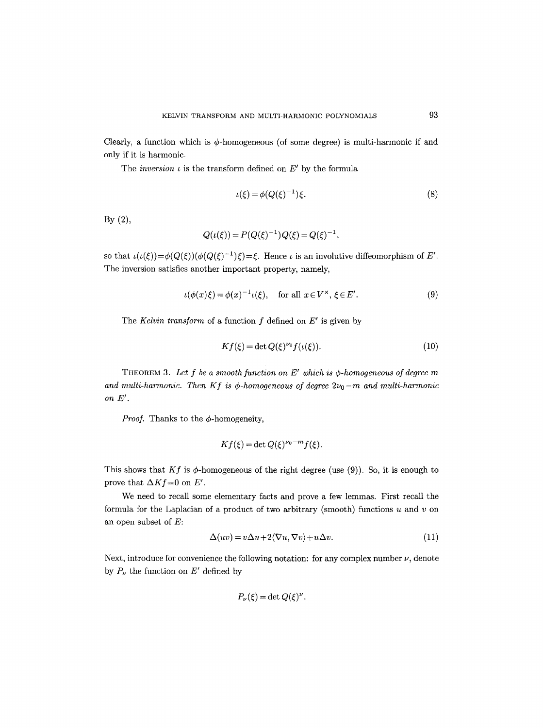Clearly, a function which is  $\phi$ -homogeneous (of some degree) is multi-harmonic if and only if it is harmonic.

The *inversion*  $\iota$  is the transform defined on  $E'$  by the formula

$$
\iota(\xi) = \phi(Q(\xi)^{-1})\xi. \tag{8}
$$

By (2),

$$
Q(\iota(\xi)) = P(Q(\xi)^{-1})Q(\xi) = Q(\xi)^{-1},
$$

so that  $\iota(\iota(\xi))=\phi(Q(\xi))(\phi(Q(\xi)^{-1})\xi)=\xi$ . Hence  $\iota$  is an involutive diffeomorphism of E'. The inversion satisfies another important property, namely,

$$
\iota(\phi(x)\xi) = \phi(x)^{-1}\iota(\xi), \quad \text{for all } x \in V^{\times}, \xi \in E'. \tag{9}
$$

The *Kelvin transform* of a function  $f$  defined on  $E'$  is given by

$$
Kf(\xi) = \det Q(\xi)^{\nu_0} f(\iota(\xi)).\tag{10}
$$

THEOREM 3. Let  $f$  be a smooth function on  $E'$  which is  $\phi$ -homogeneous of degree  $m$ and multi-harmonic. Then  $Kf$  is  $\phi$ -homogeneous of degree  $2\nu_0-m$  and multi-harmonic  $\emph{on } E'.$ 

*Proof.* Thanks to the  $\phi$ -homogeneity,

$$
Kf(\xi) = \det Q(\xi)^{\nu_0 - m} f(\xi).
$$

This shows that  $Kf$  is  $\phi$ -homogeneous of the right degree (use (9)). So, it is enough to prove that  $\Delta K f = 0$  on *E'*.

We need to recall some elementary facts and prove a few lemmas. First recall the formula for the Laplacian of a product of two arbitrary (smooth) functions  $u$  and  $v$  on an open subset of E:

$$
\Delta(uv) = v\Delta u + 2\langle \nabla u, \nabla v \rangle + u\Delta v. \tag{11}
$$

Next, introduce for convenience the following notation: for any complex number  $\nu$ , denote by  $P_{\nu}$  the function on E' defined by

$$
P_{\nu}(\xi) = \det Q(\xi)^{\nu}.
$$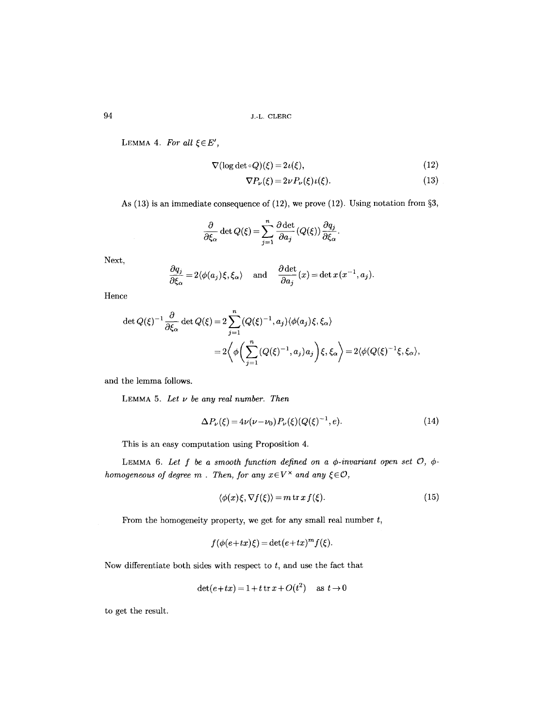LEMMA 4. For all  $\xi \in E'$ ,

$$
\nabla(\log \det \circ Q)(\xi) = 2\iota(\xi),\tag{12}
$$

$$
\nabla P_{\nu}(\xi) = 2\nu P_{\nu}(\xi)\iota(\xi). \tag{13}
$$

As  $(13)$  is an immediate consequence of  $(12)$ , we prove  $(12)$ . Using notation from §3,

$$
\frac{\partial}{\partial \xi_{\alpha}} \det Q(\xi) = \sum_{j=1}^{n} \frac{\partial \det}{\partial a_{j}} (Q(\xi)) \frac{\partial q_{j}}{\partial \xi_{\alpha}}.
$$

Next,

$$
\frac{\partial q_j}{\partial \xi_{\alpha}} = 2 \langle \phi(a_j) \xi, \xi_{\alpha} \rangle \quad \text{ and } \quad \frac{\partial \det}{\partial a_j}(x) = \det x(x^{-1}, a_j).
$$

Hence

$$
\det Q(\xi)^{-1} \frac{\partial}{\partial \xi_{\alpha}} \det Q(\xi) = 2 \sum_{j=1}^{n} (Q(\xi)^{-1}, a_j) \langle \phi(a_j) \xi, \xi_{\alpha} \rangle
$$
  
=  $2 \left\langle \phi \left( \sum_{j=1}^{n} (Q(\xi)^{-1}, a_j) a_j \right) \xi, \xi_{\alpha} \right\rangle = 2 \langle \phi(Q(\xi)^{-1} \xi, \xi_{\alpha}),$ 

and the lemma follows.

LEMMA 5. *Let v be any real number. Then* 

$$
\Delta P_{\nu}(\xi) = 4\nu(\nu - \nu_0) P_{\nu}(\xi) (Q(\xi)^{-1}, e). \tag{14}
$$

This is an easy computation using Proposition 4.

LEMMA 6. Let  $f$  be a smooth function defined on a  $\phi$ -invariant open set  $\mathcal{O}, \phi$ *homogeneous of degree m. Then, for any*  $x \in V^{\times}$  *and any*  $\xi \in \mathcal{O}$ *,* 

$$
\langle \phi(x)\xi, \nabla f(\xi) \rangle = m \operatorname{tr} x f(\xi). \tag{15}
$$

From the homogeneity property, we get for any small real number  $t$ ,

$$
f(\phi(e+tx)\xi) = \det(e+tx)^m f(\xi).
$$

Now differentiate both sides with respect to  $t$ , and use the fact that

$$
\det(e+tx) = 1 + t \operatorname{tr} x + O(t^2) \quad \text{as } t \to 0
$$

to get the result.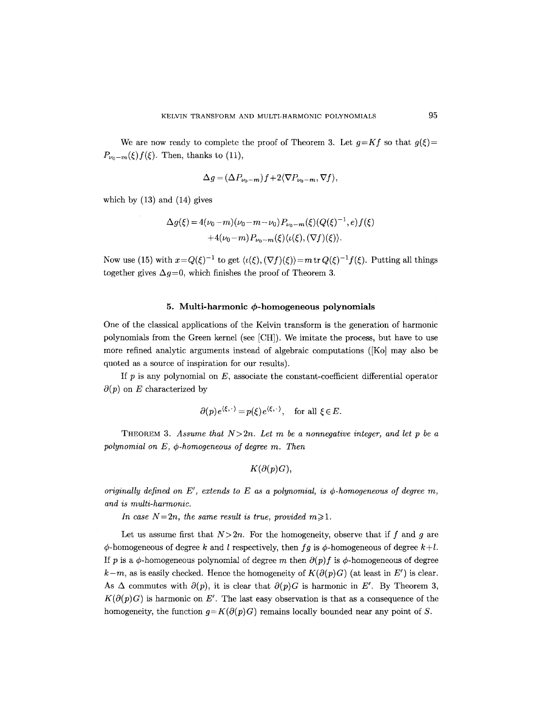We are now ready to complete the proof of Theorem 3. Let  $g=Kf$  so that  $g(\xi)=$  $P_{\nu_0-m}(\xi)f(\xi)$ . Then, thanks to (11),

$$
\Delta g = (\Delta P_{\nu_0 - m}) f + 2 \langle \nabla P_{\nu_0 - m}, \nabla f \rangle,
$$

which by (13) and (14) gives

$$
\Delta g(\xi) = 4(\nu_0 - m)(\nu_0 - m - \nu_0) P_{\nu_0 - m}(\xi) (Q(\xi)^{-1}, e) f(\xi)
$$
  
+4(\nu\_0 - m) P\_{\nu\_0 - m}(\xi) \langle \iota(\xi), (\nabla f)(\xi) \rangle.

Now use (15) with  $x=Q(\xi)^{-1}$  to get  $\langle \iota(\xi), (\nabla f)(\xi) \rangle = m \operatorname{tr} Q(\xi)^{-1} f(\xi)$ . Putting all things together gives  $\Delta g=0$ , which finishes the proof of Theorem 3.

## 5. Multi-harmonic φ-homogeneous polynomials

One of the classical applications of the Kelvin transform is the generation of harmonic polynomials from the Green kernel (see [CH]). We imitate the process, but have to use more refined analytic arguments instead of algebraic computations ([Ko] may also be quoted as a source of inspiration for our results).

If  $p$  is any polynomial on  $E$ , associate the constant-coefficient differential operator  $\partial(p)$  on E characterized by

$$
\partial(p)e^{\langle \xi, \cdot \rangle} = p(\xi)e^{\langle \xi, \cdot \rangle}, \text{ for all } \xi \in E.
$$

THEOREM 3. Assume that  $N>2n$ . Let m be a nonnegative integer, and let p be a  $polynomial$  on  $E$ ,  $\phi$ -homogeneous of degree m. Then

$$
K(\partial(p)G),
$$

*originally defined on E', extends to E as a polynomial, is*  $\phi$ *-homogeneous of degree m, and is multi-harmonic.* 

*In case N=2n, the same result is true, provided m>1.* 

Let us assume first that  $N> 2n$ . For the homogeneity, observe that if f and g are  $\phi$ -homogeneous of degree k and l respectively, then *fg* is  $\phi$ -homogeneous of degree  $k+l$ . If p is a  $\phi$ -homogeneous polynomial of degree m then  $\partial(p)f$  is  $\phi$ -homogeneous of degree  $k-m$ , as is easily checked. Hence the homogeneity of  $K(\partial(p)G)$  (at least in E') is clear. As  $\Delta$  commutes with  $\partial(p)$ , it is clear that  $\partial(p)G$  is harmonic in E'. By Theorem 3,  $K(\partial(p)G)$  is harmonic on E'. The last easy observation is that as a consequence of the homogeneity, the function  $g=K(\partial(p)G)$  remains locally bounded near any point of S.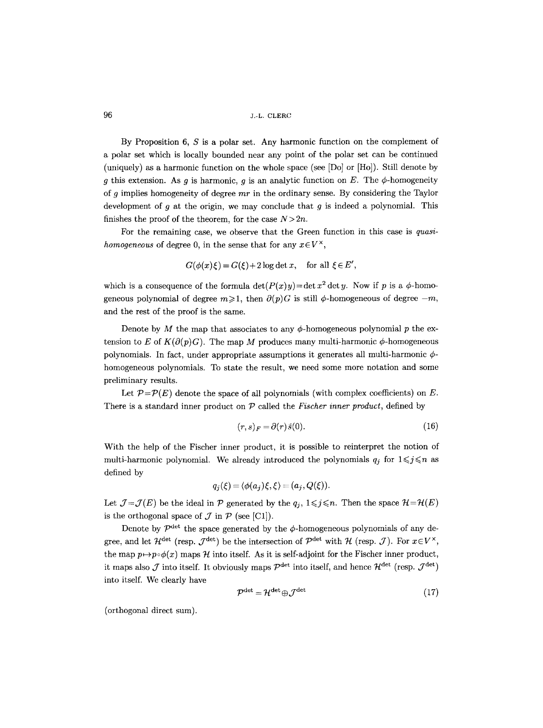By Proposition  $6, S$  is a polar set. Any harmonic function on the complement of a polar set which is locally bounded near any point of the polar set can be continued (uniquely) as a harmonic function on the whole space (see [Do] or  $[H_0]$ ). Still denote by g this extension. As g is harmonic, g is an analytic function on E. The  $\phi$ -homogeneity of g implies homogeneity of degree *mr* in the ordinary sense. By considering the Taylor development of  $q$  at the origin, we may conclude that  $q$  is indeed a polynomial. This finishes the proof of the theorem, for the case  $N>2n$ .

For the remaining case, we observe that the Green function in this case is *quasihomogeneous* of degree 0, in the sense that for any  $x \in V^{\times}$ ,

$$
G(\phi(x)\xi) = G(\xi) + 2\log \det x, \text{ for all } \xi \in E',
$$

which is a consequence of the formula  $\det(P(x)y) = \det x^2 \det y$ . Now if p is a  $\phi$ -homogeneous polynomial of degree  $m \geq 1$ , then  $\partial(p)G$  is still  $\phi$ -homogeneous of degree  $-m$ , and the rest of the proof is the same.

Denote by M the map that associates to any  $\phi$ -homogeneous polynomial p the extension to E of  $K(\partial(p)G)$ . The map M produces many multi-harmonic  $\phi$ -homogeneous polynomials. In fact, under appropriate assumptions it generates all multi-harmonic  $\phi$ homogeneous polynomials. To state the result, we need some more notation and some preliminary results.

Let  $P = \mathcal{P}(E)$  denote the space of all polynomials (with complex coefficients) on E. There is a standard inner product on P called the *Fischer inner product,* defined by

$$
(r,s)_F = \partial(r)\bar{s}(0). \tag{16}
$$

With the help of the Fischer inner product, it is possible to reinterpret the notion of multi-harmonic polynomial. We already introduced the polynomials  $q_j$  for  $1 \leq j \leq n$  as defined by

$$
q_j(\xi) = \langle \phi(a_j)\xi, \xi \rangle = (a_j, Q(\xi)).
$$

Let  $\mathcal{J}=\mathcal{J}(E)$  be the ideal in  $\mathcal{P}$  generated by the  $q_j$ ,  $1\leq j\leq n$ . Then the space  $\mathcal{H}=\mathcal{H}(E)$ is the orthogonal space of  $\mathcal J$  in  $\mathcal P$  (see [C1]).

Denote by  $\mathcal{P}^{\text{det}}$  the space generated by the  $\phi$ -homogeneous polynomials of any degree, and let  $\mathcal{H}^{\text{det}}$  (resp.  $\mathcal{J}^{\text{det}}$ ) be the intersection of  $\mathcal{P}^{\text{det}}$  with  $\mathcal{H}$  (resp.  $\mathcal{J}$ ). For  $x \in V^{\times}$ , the map  $p \mapsto p \circ \phi(x)$  maps  $\mathcal H$  into itself. As it is self-adjoint for the Fischer inner product, it maps also  $\mathcal J$  into itself. It obviously maps  $\mathcal P^{\rm det}$  into itself, and hence  $\mathcal H^{\rm det}$  (resp.  $\mathcal J^{\rm det}$ ) into itself. We clearly have

$$
\mathcal{P}^{\det} = \mathcal{H}^{\det} \oplus \mathcal{J}^{\det} \tag{17}
$$

(orthogonal direct sum).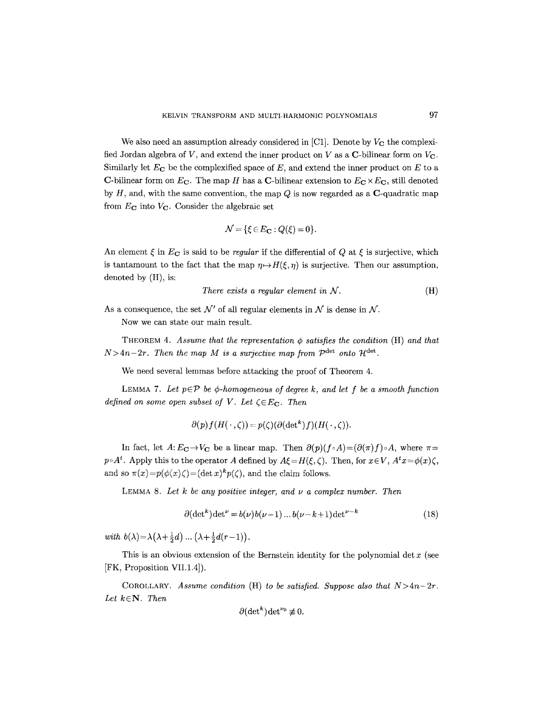We also need an assumption already considered in  $[C1]$ . Denote by  $V_C$  the complexified Jordan algebra of V, and extend the inner product on V as a C-bilinear form on  $V<sub>C</sub>$ . Similarly let  $E_C$  be the complexified space of E, and extend the inner product on E to a C-bilinear form on  $E_C$ . The map H has a C-bilinear extension to  $E_C \times E_C$ , still denoted by  $H$ , and, with the same convention, the map  $Q$  is now regarded as a  $C$ -quadratic map from  $E_{\rm C}$  into  $V_{\rm C}$ . Consider the algebraic set

$$
\mathcal{N} = \{ \xi \in E_{\mathbf{C}} : Q(\xi) = 0 \}.
$$

An element  $\xi$  in  $E_{\mathbf{C}}$  is said to be *regular* if the differential of Q at  $\xi$  is surjective, which is tantamount to the fact that the map  $\eta \mapsto H(\xi, \eta)$  is surjective. Then our assumption, denoted by (H), is:

There exists a regular element in 
$$
\mathcal{N}
$$
.  $(H)$ 

As a consequence, the set  $\mathcal{N}'$  of all regular elements in  $\mathcal N$  is dense in  $\mathcal N$ .

Now we can state our main result.

THEOREM 4. *Assume that the representation*  $\phi$  *satisfies the condition* (H) *and that*  $N > 4n-2r$ . Then the map M is a surjective map from  $\mathcal{P}^{\text{det}}$  onto  $\mathcal{H}^{\text{det}}$ .

We need several lemmas before attacking the proof of Theorem 4.

LEMMA 7. Let  $p \in \mathcal{P}$  be  $\phi$ -homogeneous of degree k, and let f be a smooth function *defined on some open subset of V. Let*  $\zeta \in E_C$ . Then

$$
\partial(p)f(H(\cdot,\zeta))=p(\zeta)(\partial(\det^k)f)(H(\cdot,\zeta)).
$$

In fact, let  $A: E_{\mathbf{C}} \to V_{\mathbf{C}}$  be a linear map. Then  $\partial(p)(f \circ A) = (\partial(\pi)f) \circ A$ , where  $\pi =$  $p \circ A^t$ . Apply this to the operator A defined by  $A \xi = H(\xi, \zeta)$ . Then, for  $x \in V$ ,  $A^t x = \phi(x) \zeta$ , and so  $\pi(x) = p(\phi(x)\zeta) = (\det x)^k p(\zeta)$ , and the claim follows.

LEMMA 8. Let  $k$  be any positive integer, and  $\nu$  a complex number. Then

$$
\partial(\det^k)\det^{\nu} = b(\nu)b(\nu - 1)\dots b(\nu - k + 1)\det^{\nu - k}
$$
\n(18)

*with*  $b(\lambda) = \lambda(\lambda + \frac{1}{2}d) \dots (\lambda + \frac{1}{2}d(r-1)).$ 

This is an obvious extension of the Bernstein identity for the polynomial det  $x$  (see [FK, Proposition VII.1.4]).

COROLLARY. *Assume condition* (H) *to be satisfied. Suppose also that*  $N>4n-2r$ . *Let kcN. Then* 

$$
\partial(\det^k)\det^{\nu_0}\not\equiv 0.
$$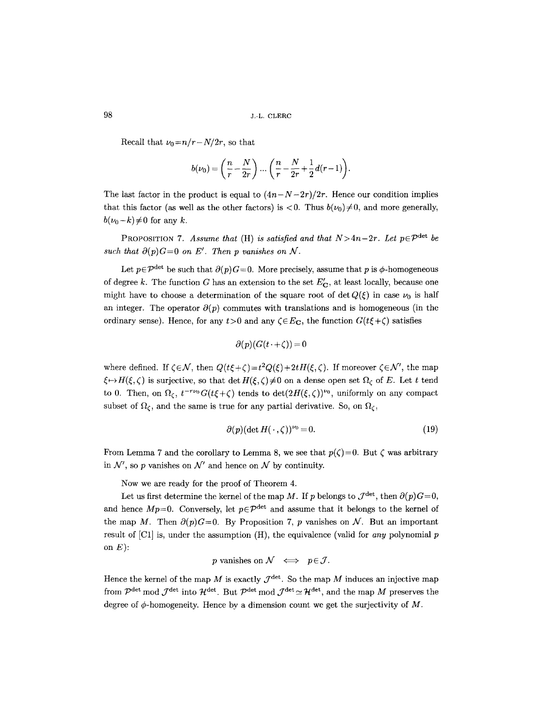Recall that  $\nu_0 = n/r - N/2r$ , so that

$$
b(\nu_0) = \left(\frac{n}{r} - \frac{N}{2r}\right) \dots \left(\frac{n}{r} - \frac{N}{2r} + \frac{1}{2}d(r-1)\right).
$$

The last factor in the product is equal to  $(4n-N-2r)/2r$ . Hence our condition implies that this factor (as well as the other factors) is  $\lt 0$ . Thus  $b(\nu_0)\neq 0$ , and more generally,  $b(\nu_0-k)\neq 0$  for any k.

PROPOSITION 7. Assume that (H) is satisfied and that  $N>4n-2r$ . Let  $p\in\mathcal{P}^{\text{det}}$  be such that  $\partial(p)G=0$  on E'. Then p vanishes on N.

Let  $p \in \mathcal{P}^{\text{det}}$  be such that  $\partial(p)G=0$ . More precisely, assume that p is  $\phi$ -homogeneous of degree k. The function G has an extension to the set  $E'_{\mathbf{C}}$ , at least locally, because one might have to choose a determination of the square root of det  $Q(\xi)$  in case  $\nu_0$  is half an integer. The operator  $\partial(p)$  commutes with translations and is homogeneous (in the ordinary sense). Hence, for any  $t>0$  and any  $\zeta \in E_{\mathbf{C}}$ , the function  $G(t\xi+\zeta)$  satisfies

$$
\partial(p)(G(t\cdot+\zeta))=0
$$

where defined. If  $\zeta \in \mathcal{N}$ , then  $Q(t\xi + \zeta) = t^2 Q(\xi) + 2t H(\xi, \zeta)$ . If moreover  $\zeta \in \mathcal{N}'$ , the map  $\xi \mapsto H(\xi, \zeta)$  is surjective, so that det  $H(\xi, \zeta) \neq 0$  on a dense open set  $\Omega_{\zeta}$  of E. Let t tend to 0. Then, on  $\Omega_{\zeta}$ ,  $t^{-r\nu_0}G(t\xi+\zeta)$  tends to  $\det(2H(\xi,\zeta))^{\nu_0}$ , uniformly on any compact subset of  $\Omega_{\zeta}$ , and the same is true for any partial derivative. So, on  $\Omega_{\zeta}$ ,

$$
\partial(p)(\det H(\cdot,\zeta))^{\nu_0}=0.\tag{19}
$$

From Lemma 7 and the corollary to Lemma 8, we see that  $p(\zeta)=0$ . But  $\zeta$  was arbitrary in  $\mathcal{N}'$ , so p vanishes on  $\mathcal{N}'$  and hence on  $\mathcal N$  by continuity.

Now we are ready for the proof of Theorem 4.

Let us first determine the kernel of the map M. If p belongs to  $\mathcal{J}^{\text{det}}$ , then  $\partial(p)G=0$ , and hence  $Mp=0$ . Conversely, let  $p \in \mathcal{P}^{\text{det}}$  and assume that it belongs to the kernel of the map M. Then  $\partial(p)G=0$ . By Proposition 7, p vanishes on N. But an important result of [C1] is, under the assumption (H), the equivalence (valid for *any* polynomial p on  $E$ ):

$$
p \text{ vanishes on } \mathcal{N} \iff p \in \mathcal{J}.
$$

Hence the kernel of the map M is exactly  $\mathcal{J}^{\text{det}}$ . So the map M induces an injective map from  $\mathcal{P}^{\text{det}}$  mod  $\mathcal{J}^{\text{det}}$  into  $\mathcal{H}^{\text{det}}$ . But  $\mathcal{P}^{\text{det}}$  mod  $\mathcal{J}^{\text{det}} \simeq \mathcal{H}^{\text{det}}$ , and the map M preserves the degree of  $\phi$ -homogeneity. Hence by a dimension count we get the surjectivity of M.